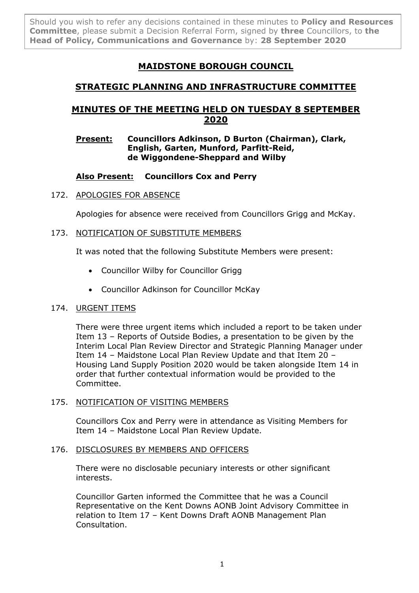Should you wish to refer any decisions contained in these minutes to **Policy and Resources Committee**, please submit a Decision Referral Form, signed by **three** Councillors, to **the Head of Policy, Communications and Governance** by: **28 September 2020**

# **MAIDSTONE BOROUGH COUNCIL**

# **STRATEGIC PLANNING AND INFRASTRUCTURE COMMITTEE**

# **MINUTES OF THE MEETING HELD ON TUESDAY 8 SEPTEMBER 2020**

# **Present: Councillors Adkinson, D Burton (Chairman), Clark, English, Garten, Munford, Parfitt-Reid, de Wiggondene-Sheppard and Wilby**

# **Also Present: Councillors Cox and Perry**

# 172. APOLOGIES FOR ABSENCE

Apologies for absence were received from Councillors Grigg and McKay.

# 173. NOTIFICATION OF SUBSTITUTE MEMBERS

It was noted that the following Substitute Members were present:

- Councillor Wilby for Councillor Grigg
- Councillor Adkinson for Councillor McKay

# 174. URGENT ITEMS

There were three urgent items which included a report to be taken under Item 13 – Reports of Outside Bodies, a presentation to be given by the Interim Local Plan Review Director and Strategic Planning Manager under Item 14 – Maidstone Local Plan Review Update and that Item 20 – Housing Land Supply Position 2020 would be taken alongside Item 14 in order that further contextual information would be provided to the Committee.

# 175. NOTIFICATION OF VISITING MEMBERS

Councillors Cox and Perry were in attendance as Visiting Members for Item 14 – Maidstone Local Plan Review Update.

# 176. DISCLOSURES BY MEMBERS AND OFFICERS

There were no disclosable pecuniary interests or other significant interests.

Councillor Garten informed the Committee that he was a Council Representative on the Kent Downs AONB Joint Advisory Committee in relation to Item 17 – Kent Downs Draft AONB Management Plan Consultation.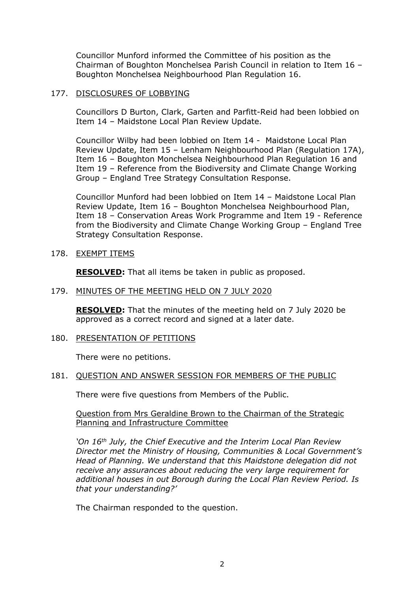Councillor Munford informed the Committee of his position as the Chairman of Boughton Monchelsea Parish Council in relation to Item 16 – Boughton Monchelsea Neighbourhood Plan Regulation 16.

#### 177. DISCLOSURES OF LOBBYING

Councillors D Burton, Clark, Garten and Parfitt-Reid had been lobbied on Item 14 – Maidstone Local Plan Review Update.

Councillor Wilby had been lobbied on Item 14 - Maidstone Local Plan Review Update, Item 15 – Lenham Neighbourhood Plan (Regulation 17A), Item 16 – Boughton Monchelsea Neighbourhood Plan Regulation 16 and Item 19 – Reference from the Biodiversity and Climate Change Working Group – England Tree Strategy Consultation Response.

Councillor Munford had been lobbied on Item 14 – Maidstone Local Plan Review Update, Item 16 – Boughton Monchelsea Neighbourhood Plan, Item 18 – Conservation Areas Work Programme and Item 19 - Reference from the Biodiversity and Climate Change Working Group – England Tree Strategy Consultation Response.

178. EXEMPT ITEMS

**RESOLVED:** That all items be taken in public as proposed.

#### 179. MINUTES OF THE MEETING HELD ON 7 JULY 2020

**RESOLVED:** That the minutes of the meeting held on 7 July 2020 be approved as a correct record and signed at a later date.

180. PRESENTATION OF PETITIONS

There were no petitions.

#### 181. QUESTION AND ANSWER SESSION FOR MEMBERS OF THE PUBLIC

There were five questions from Members of the Public.

#### Question from Mrs Geraldine Brown to the Chairman of the Strategic Planning and Infrastructure Committee

*'On 16th July, the Chief Executive and the Interim Local Plan Review Director met the Ministry of Housing, Communities & Local Government's Head of Planning. We understand that this Maidstone delegation did not receive any assurances about reducing the very large requirement for additional houses in out Borough during the Local Plan Review Period. Is that your understanding?'*

The Chairman responded to the question.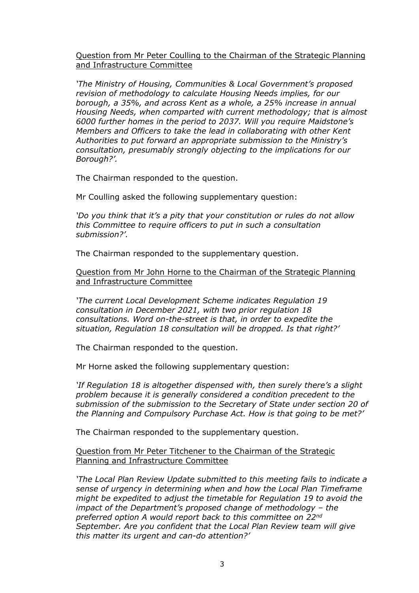Question from Mr Peter Coulling to the Chairman of the Strategic Planning and Infrastructure Committee

*'The Ministry of Housing, Communities & Local Government's proposed revision of methodology to calculate Housing Needs implies, for our borough, a 35%, and across Kent as a whole, a 25% increase in annual Housing Needs, when comparted with current methodology; that is almost 6000 further homes in the period to 2037. Will you require Maidstone's Members and Officers to take the lead in collaborating with other Kent Authorities to put forward an appropriate submission to the Ministry's consultation, presumably strongly objecting to the implications for our Borough?'.*

The Chairman responded to the question.

Mr Coulling asked the following supplementary question:

*'Do you think that it's a pity that your constitution or rules do not allow this Committee to require officers to put in such a consultation submission?'.*

The Chairman responded to the supplementary question.

Question from Mr John Horne to the Chairman of the Strategic Planning and Infrastructure Committee

*'The current Local Development Scheme indicates Regulation 19 consultation in December 2021, with two prior regulation 18 consultations. Word on-the-street is that, in order to expedite the situation, Regulation 18 consultation will be dropped. Is that right?'*

The Chairman responded to the question.

Mr Horne asked the following supplementary question:

*'If Regulation 18 is altogether dispensed with, then surely there's a slight problem because it is generally considered a condition precedent to the submission of the submission to the Secretary of State under section 20 of the Planning and Compulsory Purchase Act. How is that going to be met?'*

The Chairman responded to the supplementary question.

Question from Mr Peter Titchener to the Chairman of the Strategic Planning and Infrastructure Committee

*'The Local Plan Review Update submitted to this meeting fails to indicate a sense of urgency in determining when and how the Local Plan Timeframe might be expedited to adjust the timetable for Regulation 19 to avoid the impact of the Department's proposed change of methodology – the preferred option A would report back to this committee on 22nd September. Are you confident that the Local Plan Review team will give this matter its urgent and can-do attention?'*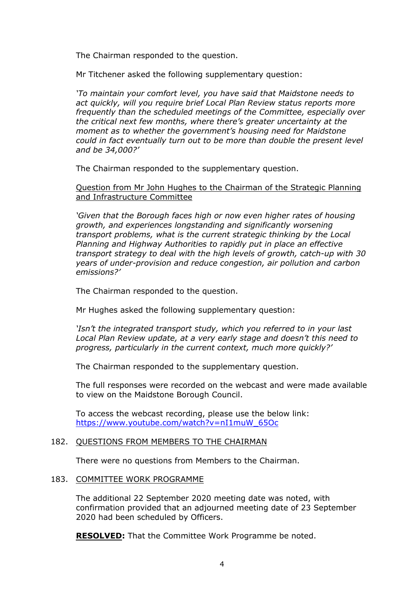The Chairman responded to the question.

Mr Titchener asked the following supplementary question:

*'To maintain your comfort level, you have said that Maidstone needs to act quickly, will you require brief Local Plan Review status reports more frequently than the scheduled meetings of the Committee, especially over the critical next few months, where there's greater uncertainty at the moment as to whether the government's housing need for Maidstone could in fact eventually turn out to be more than double the present level and be 34,000?'*

The Chairman responded to the supplementary question.

Question from Mr John Hughes to the Chairman of the Strategic Planning and Infrastructure Committee

*'Given that the Borough faces high or now even higher rates of housing growth, and experiences longstanding and significantly worsening transport problems, what is the current strategic thinking by the Local Planning and Highway Authorities to rapidly put in place an effective transport strategy to deal with the high levels of growth, catch-up with 30 years of under-provision and reduce congestion, air pollution and carbon emissions?'*

The Chairman responded to the question.

Mr Hughes asked the following supplementary question:

*'Isn't the integrated transport study, which you referred to in your last Local Plan Review update, at a very early stage and doesn't this need to progress, particularly in the current context, much more quickly?'*

The Chairman responded to the supplementary question.

The full responses were recorded on the webcast and were made available to view on the Maidstone Borough Council.

To access the webcast recording, please use the below link: [https://www.youtube.com/watch?v=nI1muW\\_65Oc](https://www.youtube.com/watch?v=nI1muW_65Oc)

# 182. QUESTIONS FROM MEMBERS TO THE CHAIRMAN

There were no questions from Members to the Chairman.

#### 183. COMMITTEE WORK PROGRAMME

The additional 22 September 2020 meeting date was noted, with confirmation provided that an adjourned meeting date of 23 September 2020 had been scheduled by Officers.

**RESOLVED:** That the Committee Work Programme be noted.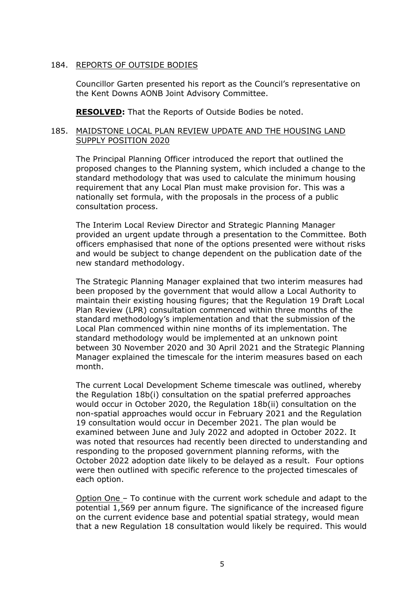### 184. REPORTS OF OUTSIDE BODIES

Councillor Garten presented his report as the Council's representative on the Kent Downs AONB Joint Advisory Committee.

**RESOLVED:** That the Reports of Outside Bodies be noted.

## 185. MAIDSTONE LOCAL PLAN REVIEW UPDATE AND THE HOUSING LAND SUPPLY POSITION 2020

The Principal Planning Officer introduced the report that outlined the proposed changes to the Planning system, which included a change to the standard methodology that was used to calculate the minimum housing requirement that any Local Plan must make provision for. This was a nationally set formula, with the proposals in the process of a public consultation process.

The Interim Local Review Director and Strategic Planning Manager provided an urgent update through a presentation to the Committee. Both officers emphasised that none of the options presented were without risks and would be subject to change dependent on the publication date of the new standard methodology.

The Strategic Planning Manager explained that two interim measures had been proposed by the government that would allow a Local Authority to maintain their existing housing figures; that the Regulation 19 Draft Local Plan Review (LPR) consultation commenced within three months of the standard methodology's implementation and that the submission of the Local Plan commenced within nine months of its implementation. The standard methodology would be implemented at an unknown point between 30 November 2020 and 30 April 2021 and the Strategic Planning Manager explained the timescale for the interim measures based on each month.

The current Local Development Scheme timescale was outlined, whereby the Regulation 18b(i) consultation on the spatial preferred approaches would occur in October 2020, the Regulation 18b(ii) consultation on the non-spatial approaches would occur in February 2021 and the Regulation 19 consultation would occur in December 2021. The plan would be examined between June and July 2022 and adopted in October 2022. It was noted that resources had recently been directed to understanding and responding to the proposed government planning reforms, with the October 2022 adoption date likely to be delayed as a result. Four options were then outlined with specific reference to the projected timescales of each option.

Option One – To continue with the current work schedule and adapt to the potential 1,569 per annum figure. The significance of the increased figure on the current evidence base and potential spatial strategy, would mean that a new Regulation 18 consultation would likely be required. This would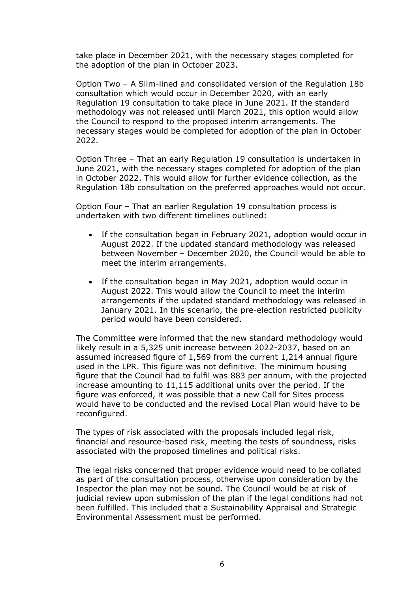take place in December 2021, with the necessary stages completed for the adoption of the plan in October 2023.

Option Two – A Slim-lined and consolidated version of the Regulation 18b consultation which would occur in December 2020, with an early Regulation 19 consultation to take place in June 2021. If the standard methodology was not released until March 2021, this option would allow the Council to respond to the proposed interim arrangements. The necessary stages would be completed for adoption of the plan in October 2022.

Option Three – That an early Regulation 19 consultation is undertaken in June 2021, with the necessary stages completed for adoption of the plan in October 2022. This would allow for further evidence collection, as the Regulation 18b consultation on the preferred approaches would not occur.

Option Four – That an earlier Regulation 19 consultation process is undertaken with two different timelines outlined:

- If the consultation began in February 2021, adoption would occur in August 2022. If the updated standard methodology was released between November – December 2020, the Council would be able to meet the interim arrangements.
- If the consultation began in May 2021, adoption would occur in August 2022. This would allow the Council to meet the interim arrangements if the updated standard methodology was released in January 2021. In this scenario, the pre-election restricted publicity period would have been considered.

The Committee were informed that the new standard methodology would likely result in a 5,325 unit increase between 2022-2037, based on an assumed increased figure of 1,569 from the current 1,214 annual figure used in the LPR. This figure was not definitive. The minimum housing figure that the Council had to fulfil was 883 per annum, with the projected increase amounting to 11,115 additional units over the period. If the figure was enforced, it was possible that a new Call for Sites process would have to be conducted and the revised Local Plan would have to be reconfigured.

The types of risk associated with the proposals included legal risk, financial and resource-based risk, meeting the tests of soundness, risks associated with the proposed timelines and political risks.

The legal risks concerned that proper evidence would need to be collated as part of the consultation process, otherwise upon consideration by the Inspector the plan may not be sound. The Council would be at risk of judicial review upon submission of the plan if the legal conditions had not been fulfilled. This included that a Sustainability Appraisal and Strategic Environmental Assessment must be performed.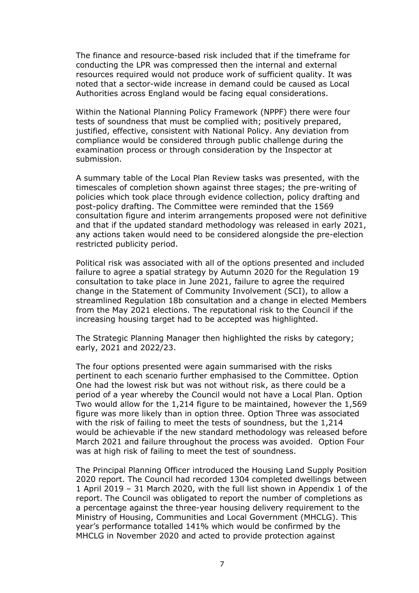The finance and resource-based risk included that if the timeframe for conducting the LPR was compressed then the internal and external resources required would not produce work of sufficient quality. It was noted that a sector-wide increase in demand could be caused as Local Authorities across England would be facing equal considerations.

Within the National Planning Policy Framework (NPPF) there were four tests of soundness that must be complied with; positively prepared, justified, effective, consistent with National Policy. Any deviation from compliance would be considered through public challenge during the examination process or through consideration by the Inspector at submission.

A summary table of the Local Plan Review tasks was presented, with the timescales of completion shown against three stages; the pre-writing of policies which took place through evidence collection, policy drafting and post-policy drafting. The Committee were reminded that the 1569 consultation figure and interim arrangements proposed were not definitive and that if the updated standard methodology was released in early 2021, any actions taken would need to be considered alongside the pre-election restricted publicity period.

Political risk was associated with all of the options presented and included failure to agree a spatial strategy by Autumn 2020 for the Regulation 19 consultation to take place in June 2021, failure to agree the required change in the Statement of Community Involvement (SCI), to allow a streamlined Regulation 18b consultation and a change in elected Members from the May 2021 elections. The reputational risk to the Council if the increasing housing target had to be accepted was highlighted.

The Strategic Planning Manager then highlighted the risks by category; early, 2021 and 2022/23.

The four options presented were again summarised with the risks pertinent to each scenario further emphasised to the Committee. Option One had the lowest risk but was not without risk, as there could be a period of a year whereby the Council would not have a Local Plan. Option Two would allow for the 1,214 figure to be maintained, however the 1,569 figure was more likely than in option three. Option Three was associated with the risk of failing to meet the tests of soundness, but the 1,214 would be achievable if the new standard methodology was released before March 2021 and failure throughout the process was avoided. Option Four was at high risk of failing to meet the test of soundness.

The Principal Planning Officer introduced the Housing Land Supply Position 2020 report. The Council had recorded 1304 completed dwellings between 1 April 2019 – 31 March 2020, with the full list shown in Appendix 1 of the report. The Council was obligated to report the number of completions as a percentage against the three-year housing delivery requirement to the Ministry of Housing, Communities and Local Government (MHCLG). This year's performance totalled 141% which would be confirmed by the MHCLG in November 2020 and acted to provide protection against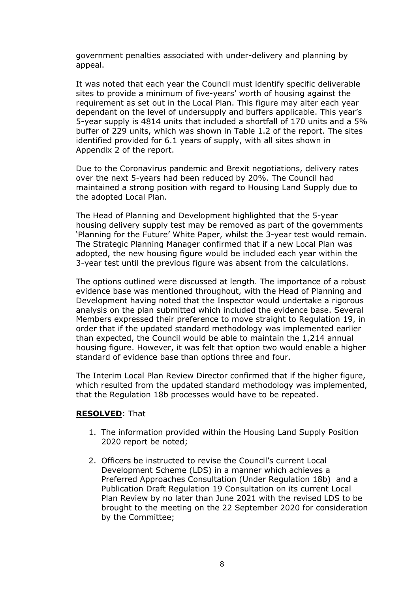government penalties associated with under-delivery and planning by appeal.

It was noted that each year the Council must identify specific deliverable sites to provide a minimum of five-years' worth of housing against the requirement as set out in the Local Plan. This figure may alter each year dependant on the level of undersupply and buffers applicable. This year's 5-year supply is 4814 units that included a shortfall of 170 units and a 5% buffer of 229 units, which was shown in Table 1.2 of the report. The sites identified provided for 6.1 years of supply, with all sites shown in Appendix 2 of the report.

Due to the Coronavirus pandemic and Brexit negotiations, delivery rates over the next 5-years had been reduced by 20%. The Council had maintained a strong position with regard to Housing Land Supply due to the adopted Local Plan.

The Head of Planning and Development highlighted that the 5-year housing delivery supply test may be removed as part of the governments 'Planning for the Future' White Paper, whilst the 3-year test would remain. The Strategic Planning Manager confirmed that if a new Local Plan was adopted, the new housing figure would be included each year within the 3-year test until the previous figure was absent from the calculations.

The options outlined were discussed at length. The importance of a robust evidence base was mentioned throughout, with the Head of Planning and Development having noted that the Inspector would undertake a rigorous analysis on the plan submitted which included the evidence base. Several Members expressed their preference to move straight to Regulation 19, in order that if the updated standard methodology was implemented earlier than expected, the Council would be able to maintain the 1,214 annual housing figure. However, it was felt that option two would enable a higher standard of evidence base than options three and four.

The Interim Local Plan Review Director confirmed that if the higher figure, which resulted from the updated standard methodology was implemented, that the Regulation 18b processes would have to be repeated.

#### **RESOLVED**: That

- 1. The information provided within the Housing Land Supply Position 2020 report be noted;
- 2. Officers be instructed to revise the Council's current Local Development Scheme (LDS) in a manner which achieves a Preferred Approaches Consultation (Under Regulation 18b) and a Publication Draft Regulation 19 Consultation on its current Local Plan Review by no later than June 2021 with the revised LDS to be brought to the meeting on the 22 September 2020 for consideration by the Committee;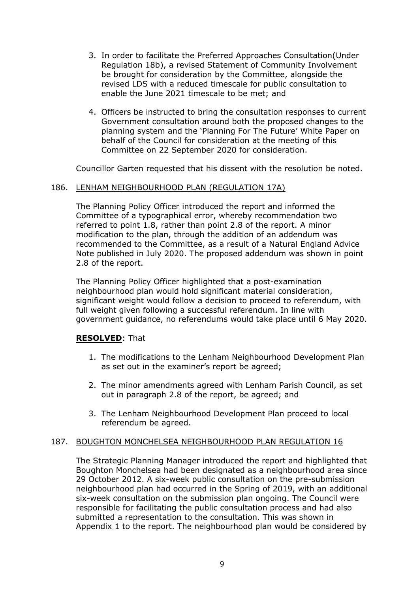- 3. In order to facilitate the Preferred Approaches Consultation(Under Regulation 18b), a revised Statement of Community Involvement be brought for consideration by the Committee, alongside the revised LDS with a reduced timescale for public consultation to enable the June 2021 timescale to be met; and
- 4. Officers be instructed to bring the consultation responses to current Government consultation around both the proposed changes to the planning system and the 'Planning For The Future' White Paper on behalf of the Council for consideration at the meeting of this Committee on 22 September 2020 for consideration.

Councillor Garten requested that his dissent with the resolution be noted.

# 186. LENHAM NEIGHBOURHOOD PLAN (REGULATION 17A)

The Planning Policy Officer introduced the report and informed the Committee of a typographical error, whereby recommendation two referred to point 1.8, rather than point 2.8 of the report. A minor modification to the plan, through the addition of an addendum was recommended to the Committee, as a result of a Natural England Advice Note published in July 2020. The proposed addendum was shown in point 2.8 of the report.

The Planning Policy Officer highlighted that a post-examination neighbourhood plan would hold significant material consideration, significant weight would follow a decision to proceed to referendum, with full weight given following a successful referendum. In line with government guidance, no referendums would take place until 6 May 2020.

# **RESOLVED**: That

- 1. The modifications to the Lenham Neighbourhood Development Plan as set out in the examiner's report be agreed;
- 2. The minor amendments agreed with Lenham Parish Council, as set out in paragraph 2.8 of the report, be agreed; and
- 3. The Lenham Neighbourhood Development Plan proceed to local referendum be agreed.

#### 187. BOUGHTON MONCHELSEA NEIGHBOURHOOD PLAN REGULATION 16

The Strategic Planning Manager introduced the report and highlighted that Boughton Monchelsea had been designated as a neighbourhood area since 29 October 2012. A six-week public consultation on the pre-submission neighbourhood plan had occurred in the Spring of 2019, with an additional six-week consultation on the submission plan ongoing. The Council were responsible for facilitating the public consultation process and had also submitted a representation to the consultation. This was shown in Appendix 1 to the report. The neighbourhood plan would be considered by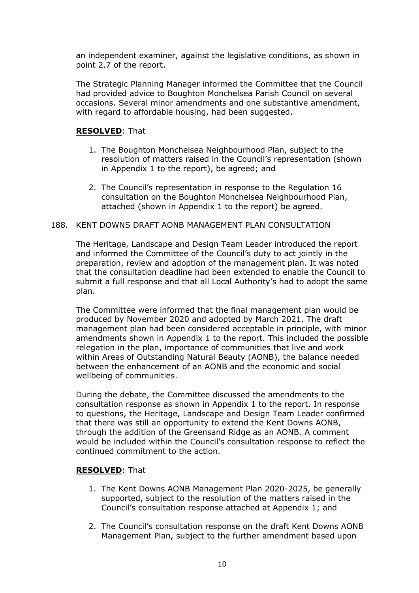an independent examiner, against the legislative conditions, as shown in point 2.7 of the report.

The Strategic Planning Manager informed the Committee that the Council had provided advice to Boughton Monchelsea Parish Council on several occasions. Several minor amendments and one substantive amendment, with regard to affordable housing, had been suggested.

# **RESOLVED**: That

- 1. The Boughton Monchelsea Neighbourhood Plan, subject to the resolution of matters raised in the Council's representation (shown in Appendix 1 to the report), be agreed; and
- 2. The Council's representation in response to the Regulation 16 consultation on the Boughton Monchelsea Neighbourhood Plan, attached (shown in Appendix 1 to the report) be agreed.

#### 188. KENT DOWNS DRAFT AONB MANAGEMENT PLAN CONSULTATION

The Heritage, Landscape and Design Team Leader introduced the report and informed the Committee of the Council's duty to act jointly in the preparation, review and adoption of the management plan. It was noted that the consultation deadline had been extended to enable the Council to submit a full response and that all Local Authority's had to adopt the same plan.

The Committee were informed that the final management plan would be produced by November 2020 and adopted by March 2021. The draft management plan had been considered acceptable in principle, with minor amendments shown in Appendix 1 to the report. This included the possible relegation in the plan, importance of communities that live and work within Areas of Outstanding Natural Beauty (AONB), the balance needed between the enhancement of an AONB and the economic and social wellbeing of communities.

During the debate, the Committee discussed the amendments to the consultation response as shown in Appendix 1 to the report. In response to questions, the Heritage, Landscape and Design Team Leader confirmed that there was still an opportunity to extend the Kent Downs AONB, through the addition of the Greensand Ridge as an AONB. A comment would be included within the Council's consultation response to reflect the continued commitment to the action.

#### **RESOLVED**: That

- 1. The Kent Downs AONB Management Plan 2020-2025, be generally supported, subject to the resolution of the matters raised in the Council's consultation response attached at Appendix 1; and
- 2. The Council's consultation response on the draft Kent Downs AONB Management Plan, subject to the further amendment based upon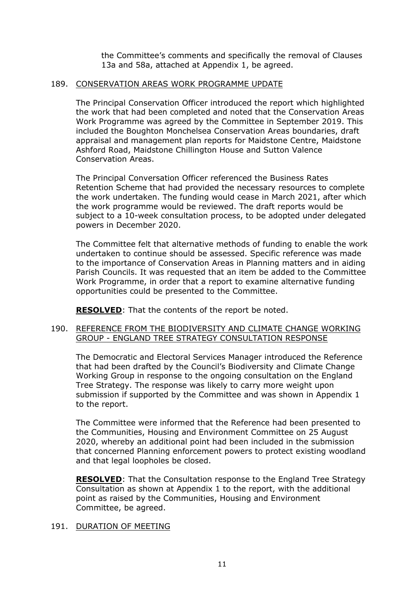the Committee's comments and specifically the removal of Clauses 13a and 58a, attached at Appendix 1, be agreed.

# 189. CONSERVATION AREAS WORK PROGRAMME UPDATE

The Principal Conservation Officer introduced the report which highlighted the work that had been completed and noted that the Conservation Areas Work Programme was agreed by the Committee in September 2019. This included the Boughton Monchelsea Conservation Areas boundaries, draft appraisal and management plan reports for Maidstone Centre, Maidstone Ashford Road, Maidstone Chillington House and Sutton Valence Conservation Areas.

The Principal Conversation Officer referenced the Business Rates Retention Scheme that had provided the necessary resources to complete the work undertaken. The funding would cease in March 2021, after which the work programme would be reviewed. The draft reports would be subject to a 10-week consultation process, to be adopted under delegated powers in December 2020.

The Committee felt that alternative methods of funding to enable the work undertaken to continue should be assessed. Specific reference was made to the importance of Conservation Areas in Planning matters and in aiding Parish Councils. It was requested that an item be added to the Committee Work Programme, in order that a report to examine alternative funding opportunities could be presented to the Committee.

**RESOLVED**: That the contents of the report be noted.

# 190. REFERENCE FROM THE BIODIVERSITY AND CLIMATE CHANGE WORKING GROUP - ENGLAND TREE STRATEGY CONSULTATION RESPONSE

The Democratic and Electoral Services Manager introduced the Reference that had been drafted by the Council's Biodiversity and Climate Change Working Group in response to the ongoing consultation on the England Tree Strategy. The response was likely to carry more weight upon submission if supported by the Committee and was shown in Appendix 1 to the report.

The Committee were informed that the Reference had been presented to the Communities, Housing and Environment Committee on 25 August 2020, whereby an additional point had been included in the submission that concerned Planning enforcement powers to protect existing woodland and that legal loopholes be closed.

**RESOLVED**: That the Consultation response to the England Tree Strategy Consultation as shown at Appendix 1 to the report, with the additional point as raised by the Communities, Housing and Environment Committee, be agreed.

#### 191. DURATION OF MEETING